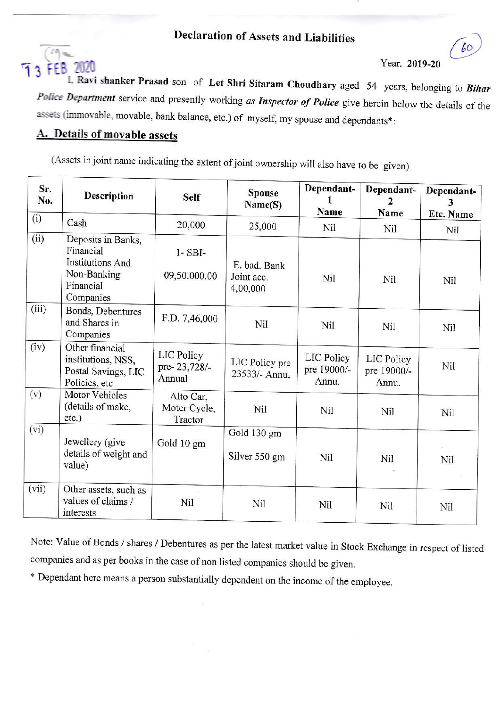# **Declaration of Assets and Liabilities**



#### Year. 2019-20

60

I, Ravi shanker Prasad son of Let Shri Sitaram Choudhary aged 54 years, belonging to Bihar Police Department service and presently working as Inspector of Police give herein below the details of the assets (immovable, movable, bank balance, etc.) of myself, my spouse and dependants\*:

## A. Details of movable assets

(Assets in joint name indicating the extent of joint ownership will also have to be given)

| Sr.<br>No. | Description                                                                                         | <b>Self</b>                          | <b>Spouse</b><br>Name(S)               | Dependant-<br>Name                 | Dependant-<br>2<br>Name            | Dependant-<br>3<br>Etc. Name |
|------------|-----------------------------------------------------------------------------------------------------|--------------------------------------|----------------------------------------|------------------------------------|------------------------------------|------------------------------|
| (i)        | Cash                                                                                                | 20,000                               | 25,000                                 | Nil                                | Nil                                | Nil                          |
| (ii)       | Deposits in Banks,<br>Financial<br><b>Institutions And</b><br>Non-Banking<br>Financial<br>Companies | $1 - SBI$<br>09,50.000.00            | E. bad. Bank<br>Joint acc.<br>4,00,000 | Nil                                | Nil                                | Nil                          |
| (iii)      | Bonds, Debentures<br>and Shares in<br>Companies                                                     | F.D. 7,46,000                        | Nil                                    | Nil                                | Nil                                | Nil                          |
| (iv)       | Other financial<br>institutions, NSS,<br>Postal Savings, LIC<br>Policies, etc                       | LIC Policy<br>pre-23,728/-<br>Annual | LIC Policy pre<br>23533/- Annu.        | LIC Policy<br>pre 19000/-<br>Annu. | LIC Policy<br>pre 19000/-<br>Annu. | Nil                          |
| (v)        | Motor Vehicles<br>(details of make,<br>etc.)                                                        | Alto Car,<br>Moter Cycle,<br>Tractor | Nil                                    | Nil                                | Nil                                | Nil                          |
| (vi)       | Jewellery (give<br>details of weight and<br>value)                                                  | Gold 10 gm                           | Gold 130 gm<br>Silver 550 gm           | Nil                                | Nil                                | Nil                          |
| (vii)      | Other assets, such as<br>values of claims /<br>interests                                            | $\sim$<br>Nil                        | Nil                                    | Nil                                | Nil                                | Nil                          |

Note: Value of Bonds / shares / Debentures as per the latest market value in Stock Exchange in respect of listed companies and as per books in the case of non listed companies should be given.

\* Dependant here means a person substantially dependent on the income of the employee.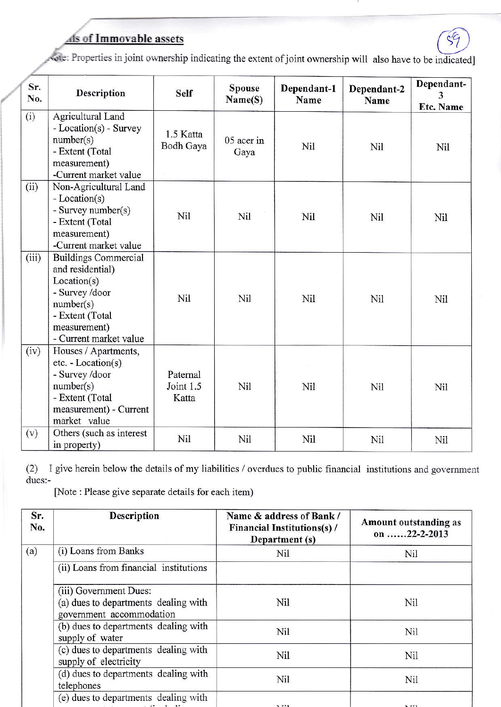

 $\epsilon$ <sup> $\epsilon$ </sup>

| Sr.<br>No. | Description                                                                                                                                                | <b>Self</b>                    | <b>Spouse</b><br>Name(S) | Dependant-1<br>Name | Dependant-2<br>Name | Dependant-<br>3<br>Etc. Name |
|------------|------------------------------------------------------------------------------------------------------------------------------------------------------------|--------------------------------|--------------------------|---------------------|---------------------|------------------------------|
| (i)        | Agricultural Land<br>- Location(s) - Survey<br>number(s)<br>- Extent (Total<br>measurement)<br>-Current market value                                       | 1.5 Katta<br>Bodh Gaya         | 05 acer in<br>Gaya       | Nil                 | Nil                 | Nil                          |
| (ii)       | Non-Agricultural Land<br>- Location(s)<br>- Survey number(s)<br>- Extent (Total<br>measurement)<br>-Current market value                                   | Nil                            | Nil                      | Nil                 | Nil                 | Nil                          |
| (iii)      | <b>Buildings Commercial</b><br>and residential)<br>Location(s)<br>- Survey /door<br>number(s)<br>- Extent (Total<br>measurement)<br>- Current market value | Nil                            | Nil                      | Nil                 | Nil                 | Nil                          |
| (iv)       | Houses / Apartments,<br>etc. - Location(s)<br>- Survey /door<br>number(s)<br>- Extent (Total<br>measurement) - Current<br>market value                     | Paternal<br>Joint 1.5<br>Katta | Nil                      | Nil                 | Nil                 | Nil                          |
| (v)        | Others (such as interest<br>in property)                                                                                                                   | Nil                            | Nil                      | Nil                 | Nil                 | Nil                          |

(2) I give herein below the details of my liabilities  $/$  overdues to public financial institutions and government dues:-

[Note : Please give separate details for each item)

| Sr.<br>No. | <b>Description</b>                                                                         | Name & address of Bank /<br><b>Financial Institutions(s)/</b><br>Department (s) | Amount outstanding as<br>on 22-2-2013 |
|------------|--------------------------------------------------------------------------------------------|---------------------------------------------------------------------------------|---------------------------------------|
| (a)        | (i) Loans from Banks                                                                       | <b>Nil</b>                                                                      | Nil                                   |
|            | (ii) Loans from financial institutions                                                     |                                                                                 |                                       |
|            | (iii) Government Dues:<br>(a) dues to departments dealing with<br>government accommodation | Nil                                                                             | Nil                                   |
|            | (b) dues to departments dealing with<br>supply of water                                    | Nil                                                                             | Nil                                   |
|            | (c) dues to departments dealing with<br>supply of electricity                              | Nil                                                                             | Nil                                   |
|            | (d) dues to departments dealing with<br>telephones                                         | Nil                                                                             | Nil                                   |
|            | (e) dues to departments dealing with                                                       | $\lambda$ T <sup>+</sup> 1                                                      | $T^*1$                                |